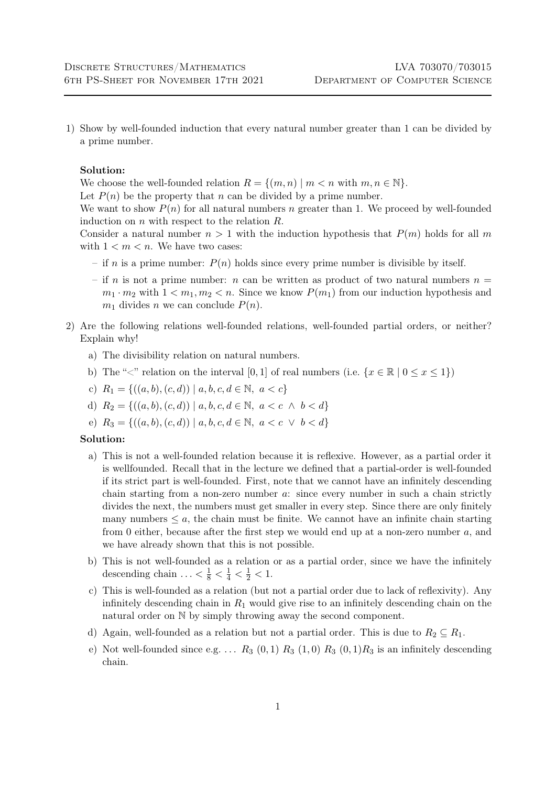1) Show by well-founded induction that every natural number greater than 1 can be divided by a prime number.

## Solution:

We choose the well-founded relation  $R = \{(m, n) | m < n \text{ with } m, n \in \mathbb{N}\}.$ 

Let  $P(n)$  be the property that n can be divided by a prime number.

We want to show  $P(n)$  for all natural numbers n greater than 1. We proceed by well-founded induction on  $n$  with respect to the relation  $R$ .

Consider a natural number  $n > 1$  with the induction hypothesis that  $P(m)$  holds for all m with  $1 < m < n$ . We have two cases:

- if n is a prime number:  $P(n)$  holds since every prime number is divisible by itself.
- if n is not a prime number: n can be written as product of two natural numbers  $n =$  $m_1 \cdot m_2$  with  $1 \lt m_1, m_2 \lt n$ . Since we know  $P(m_1)$  from our induction hypothesis and  $m_1$  divides n we can conclude  $P(n)$ .
- 2) Are the following relations well-founded relations, well-founded partial orders, or neither? Explain why!
	- a) The divisibility relation on natural numbers.
	- b) The " $\leq$ " relation on the interval [0, 1] of real numbers (i.e.  $\{x \in \mathbb{R} \mid 0 \leq x \leq 1\}$ )
	- c)  $R_1 = \{((a, b), (c, d)) \mid a, b, c, d \in \mathbb{N}, a < c\}$
	- d)  $R_2 = \{((a, b), (c, d)) \mid a, b, c, d \in \mathbb{N}, a < c \land b < d\}$
	- e)  $R_3 = \{((a, b), (c, d)) \mid a, b, c, d \in \mathbb{N}, a < c \lor b < d\}$

## Solution:

- a) This is not a well-founded relation because it is reflexive. However, as a partial order it is wellfounded. Recall that in the lecture we defined that a partial-order is well-founded if its strict part is well-founded. First, note that we cannot have an infinitely descending chain starting from a non-zero number a: since every number in such a chain strictly divides the next, the numbers must get smaller in every step. Since there are only finitely many numbers  $\leq a$ , the chain must be finite. We cannot have an infinite chain starting from 0 either, because after the first step we would end up at a non-zero number a, and we have already shown that this is not possible.
- b) This is not well-founded as a relation or as a partial order, since we have the infinitely descending chain  $... < \frac{1}{8} < \frac{1}{4} < \frac{1}{2} < 1$ .
- c) This is well-founded as a relation (but not a partial order due to lack of reflexivity). Any infinitely descending chain in  $R_1$  would give rise to an infinitely descending chain on the natural order on N by simply throwing away the second component.
- d) Again, well-founded as a relation but not a partial order. This is due to  $R_2 \subseteq R_1$ .
- e) Not well-founded since e.g. ...  $R_3$  (0, 1)  $R_3$  (1, 0)  $R_3$  (0, 1) $R_3$  is an infinitely descending chain.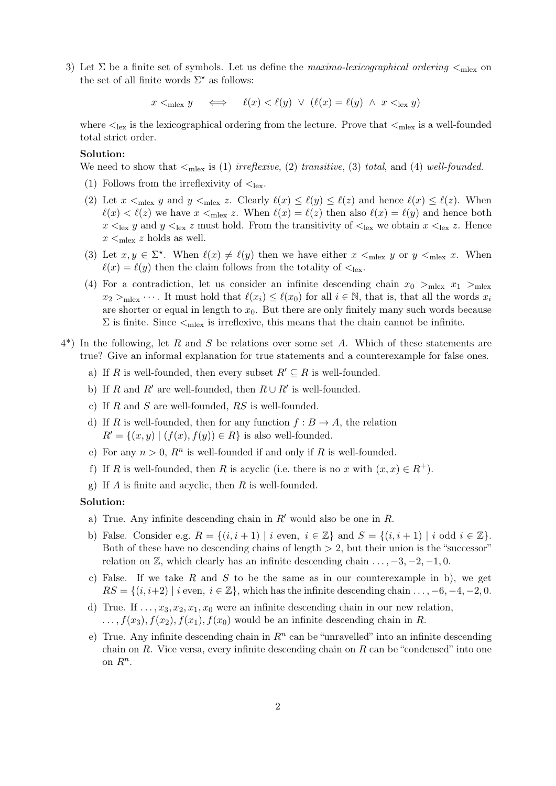3) Let  $\Sigma$  be a finite set of symbols. Let us define the maximo-lexicographical ordering  $\leq_{\text{mlex}}$  on the set of all finite words  $\Sigma^*$  as follows:

 $x <_{\text{mlex}} y \iff \ell(x) < \ell(y) \lor (\ell(x) = \ell(y) \land x <_{\text{lex}} y)$ 

where  $\leq_{\text{lex}}$  is the lexicographical ordering from the lecture. Prove that  $\leq_{\text{max}}$  is a well-founded total strict order.

## Solution:

We need to show that  $\leq_{\text{mlex}}$  is (1) irreflexive, (2) transitive, (3) total, and (4) well-founded.

- (1) Follows from the irreflexivity of  $\mathcal{L}_{\text{lex}}$ .
- (2) Let  $x \leq_{\text{mlex}} y$  and  $y \leq_{\text{mlex}} z$ . Clearly  $\ell(x) \leq \ell(y) \leq \ell(z)$  and hence  $\ell(x) \leq \ell(z)$ . When  $\ell(x) < \ell(z)$  we have  $x <_{\text{mlex}} z$ . When  $\ell(x) = \ell(z)$  then also  $\ell(x) = \ell(y)$  and hence both  $x \leq_{\text{lex}} y$  and  $y \leq_{\text{lex}} z$  must hold. From the transitivity of  $\leq_{\text{lex}}$  we obtain  $x \leq_{\text{lex}} z$ . Hence  $x \leq_{\text{mlex}} z$  holds as well.
- (3) Let  $x, y \in \Sigma^*$ . When  $\ell(x) \neq \ell(y)$  then we have either  $x <_{\text{mlex}} y$  or  $y <_{\text{mlex}} x$ . When  $\ell(x) = \ell(y)$  then the claim follows from the totality of  $\leq_{\text{lex}}$ .
- (4) For a contradiction, let us consider an infinite descending chain  $x_0 >_{m \leq x} x_1 >_{m \leq x} x_2$  $x_2 >_{\text{mlex}} \cdots$ . It must hold that  $\ell(x_i) \leq \ell(x_0)$  for all  $i \in \mathbb{N}$ , that is, that all the words  $x_i$ are shorter or equal in length to  $x_0$ . But there are only finitely many such words because  $\Sigma$  is finite. Since  $\leq_{\text{mlex}}$  is irreflexive, this means that the chain cannot be infinite.
- $4^*$ ) In the following, let R and S be relations over some set A. Which of these statements are true? Give an informal explanation for true statements and a counterexample for false ones.
	- a) If R is well-founded, then every subset  $R' \subseteq R$  is well-founded.
	- b) If R and R' are well-founded, then  $R \cup R'$  is well-founded.
	- c) If  $R$  and  $S$  are well-founded,  $RS$  is well-founded.
	- d) If R is well-founded, then for any function  $f : B \to A$ , the relation  $R' = \{(x, y) | (f(x), f(y)) \in R\}$  is also well-founded.
	- e) For any  $n > 0$ ,  $R<sup>n</sup>$  is well-founded if and only if R is well-founded.
	- f) If R is well-founded, then R is acyclic (i.e. there is no x with  $(x, x) \in R^+$ ).
	- g) If A is finite and acyclic, then R is well-founded.

## Solution:

- a) True. Any infinite descending chain in  $R'$  would also be one in R.
- b) False. Consider e.g.  $R = \{(i, i + 1) \mid i \text{ even}, i \in \mathbb{Z}\}\$ and  $S = \{(i, i + 1) \mid i \text{ odd } i \in \mathbb{Z}\}\$ . Both of these have no descending chains of length  $> 2$ , but their union is the "successor" relation on  $\mathbb{Z}$ , which clearly has an infinite descending chain  $\dots$ , -3, -2, -1, 0.
- c) False. If we take R and S to be the same as in our counterexample in b), we get  $RS = \{(i, i+2) \mid i \text{ even}, i \in \mathbb{Z}\}\$ , which has the infinite descending chain  $\dots, -6, -4, -2, 0$ .
- d) True. If  $\ldots$ ,  $x_3$ ,  $x_2$ ,  $x_1$ ,  $x_0$  were an infinite descending chain in our new relation,  $\dots, f(x_3), f(x_2), f(x_1), f(x_0)$  would be an infinite descending chain in R.
- e) True. Any infinite descending chain in  $\mathbb{R}^n$  can be "unravelled" into an infinite descending chain on R. Vice versa, every infinite descending chain on R can be "condensed" into one on  $R^n$ .